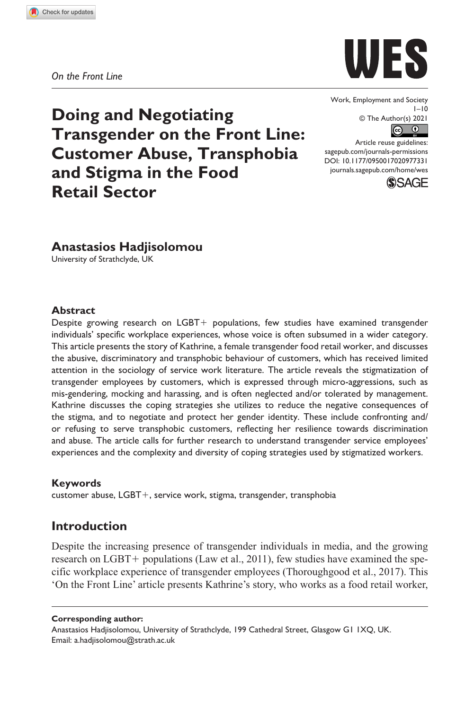**9773[31](http://crossmark.crossref.org/dialog/?doi=10.1177%2F0950017020977331&domain=pdf&date_stamp=2021-01-12)** WES0010.1177/0950017020977331Work, Employment and Society**Hadjisolomou**

*On the Front Line*



Work, Employment and Society  $1 - 10$ © The Author(s) 2021  $\boxed{6}$   $\boxed{0}$ 

DOI: 10.1177/0950017020977331 Article reuse guidelines: [sagepub.com/journals-permissions](https://uk.sagepub.com/en-gb/journals-permissions) [journals.sagepub.com/home/wes](https://journals.sagepub.com/home/wes)



# **Anastasios Hadjisolomou**

**Doing and Negotiating** 

**and Stigma in the Food** 

**Transgender on the Front Line: Customer Abuse, Transphobia** 

University of Strathclyde, UK

**Retail Sector**

#### **Abstract**

Despite growing research on LGBT+ populations, few studies have examined transgender individuals' specific workplace experiences, whose voice is often subsumed in a wider category. This article presents the story of Kathrine, a female transgender food retail worker, and discusses the abusive, discriminatory and transphobic behaviour of customers, which has received limited attention in the sociology of service work literature. The article reveals the stigmatization of transgender employees by customers, which is expressed through micro-aggressions, such as mis-gendering, mocking and harassing, and is often neglected and/or tolerated by management. Kathrine discusses the coping strategies she utilizes to reduce the negative consequences of the stigma, and to negotiate and protect her gender identity. These include confronting and/ or refusing to serve transphobic customers, reflecting her resilience towards discrimination and abuse. The article calls for further research to understand transgender service employees' experiences and the complexity and diversity of coping strategies used by stigmatized workers.

#### **Keywords**

customer abuse, LGBT+, service work, stigma, transgender, transphobia

# **Introduction**

Despite the increasing presence of transgender individuals in media, and the growing research on LGBT+ populations (Law et al., 2011), few studies have examined the specific workplace experience of transgender employees (Thoroughgood et al., 2017). This 'On the Front Line' article presents Kathrine's story, who works as a food retail worker,

**Corresponding author:**

Anastasios Hadjisolomou, University of Strathclyde, 199 Cathedral Street, Glasgow G1 1XQ, UK. Email: [a.hadjisolomou@strath.ac.uk](mailto:a.hadjisolomou@strath.ac.uk)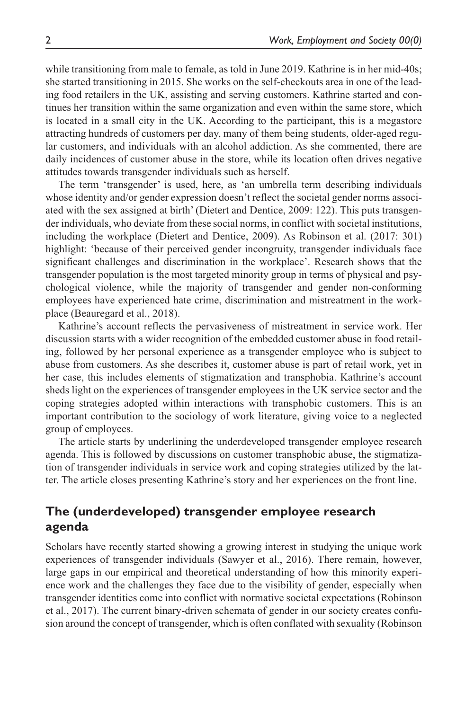while transitioning from male to female, as told in June 2019. Kathrine is in her mid-40s; she started transitioning in 2015. She works on the self-checkouts area in one of the leading food retailers in the UK, assisting and serving customers. Kathrine started and continues her transition within the same organization and even within the same store, which is located in a small city in the UK. According to the participant, this is a megastore attracting hundreds of customers per day, many of them being students, older-aged regular customers, and individuals with an alcohol addiction. As she commented, there are daily incidences of customer abuse in the store, while its location often drives negative attitudes towards transgender individuals such as herself.

The term 'transgender' is used, here, as 'an umbrella term describing individuals whose identity and/or gender expression doesn't reflect the societal gender norms associated with the sex assigned at birth' (Dietert and Dentice, 2009: 122). This puts transgender individuals, who deviate from these social norms, in conflict with societal institutions, including the workplace (Dietert and Dentice, 2009). As Robinson et al. (2017: 301) highlight: 'because of their perceived gender incongruity, transgender individuals face significant challenges and discrimination in the workplace'. Research shows that the transgender population is the most targeted minority group in terms of physical and psychological violence, while the majority of transgender and gender non-conforming employees have experienced hate crime, discrimination and mistreatment in the workplace (Beauregard et al., 2018).

Kathrine's account reflects the pervasiveness of mistreatment in service work. Her discussion starts with a wider recognition of the embedded customer abuse in food retailing, followed by her personal experience as a transgender employee who is subject to abuse from customers. As she describes it, customer abuse is part of retail work, yet in her case, this includes elements of stigmatization and transphobia. Kathrine's account sheds light on the experiences of transgender employees in the UK service sector and the coping strategies adopted within interactions with transphobic customers. This is an important contribution to the sociology of work literature, giving voice to a neglected group of employees.

The article starts by underlining the underdeveloped transgender employee research agenda. This is followed by discussions on customer transphobic abuse, the stigmatization of transgender individuals in service work and coping strategies utilized by the latter. The article closes presenting Kathrine's story and her experiences on the front line.

## **The (underdeveloped) transgender employee research agenda**

Scholars have recently started showing a growing interest in studying the unique work experiences of transgender individuals (Sawyer et al., 2016). There remain, however, large gaps in our empirical and theoretical understanding of how this minority experience work and the challenges they face due to the visibility of gender, especially when transgender identities come into conflict with normative societal expectations (Robinson et al., 2017). The current binary-driven schemata of gender in our society creates confusion around the concept of transgender, which is often conflated with sexuality (Robinson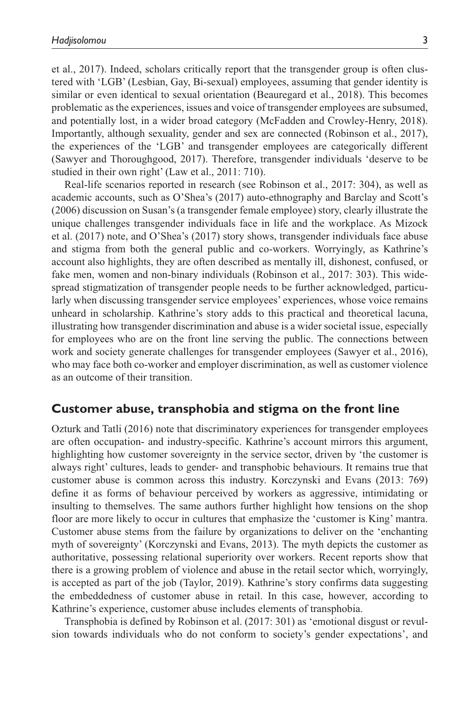et al., 2017). Indeed, scholars critically report that the transgender group is often clustered with 'LGB' (Lesbian, Gay, Bi-sexual) employees, assuming that gender identity is similar or even identical to sexual orientation (Beauregard et al., 2018). This becomes problematic as the experiences, issues and voice of transgender employees are subsumed, and potentially lost, in a wider broad category (McFadden and Crowley-Henry, 2018). Importantly, although sexuality, gender and sex are connected (Robinson et al., 2017), the experiences of the 'LGB' and transgender employees are categorically different (Sawyer and Thoroughgood, 2017). Therefore, transgender individuals 'deserve to be studied in their own right' (Law et al., 2011: 710).

Real-life scenarios reported in research (see Robinson et al., 2017: 304), as well as academic accounts, such as O'Shea's (2017) auto-ethnography and Barclay and Scott's (2006) discussion on Susan's (a transgender female employee) story, clearly illustrate the unique challenges transgender individuals face in life and the workplace. As Mizock et al. (2017) note, and O'Shea's (2017) story shows, transgender individuals face abuse and stigma from both the general public and co-workers. Worryingly, as Kathrine's account also highlights, they are often described as mentally ill, dishonest, confused, or fake men, women and non-binary individuals (Robinson et al., 2017: 303). This widespread stigmatization of transgender people needs to be further acknowledged, particularly when discussing transgender service employees' experiences, whose voice remains unheard in scholarship. Kathrine's story adds to this practical and theoretical lacuna, illustrating how transgender discrimination and abuse is a wider societal issue, especially for employees who are on the front line serving the public. The connections between work and society generate challenges for transgender employees (Sawyer et al., 2016), who may face both co-worker and employer discrimination, as well as customer violence as an outcome of their transition.

### **Customer abuse, transphobia and stigma on the front line**

Ozturk and Tatli (2016) note that discriminatory experiences for transgender employees are often occupation- and industry-specific. Kathrine's account mirrors this argument, highlighting how customer sovereignty in the service sector, driven by 'the customer is always right' cultures, leads to gender- and transphobic behaviours. It remains true that customer abuse is common across this industry. Korczynski and Evans (2013: 769) define it as forms of behaviour perceived by workers as aggressive, intimidating or insulting to themselves. The same authors further highlight how tensions on the shop floor are more likely to occur in cultures that emphasize the 'customer is King' mantra. Customer abuse stems from the failure by organizations to deliver on the 'enchanting myth of sovereignty' (Korczynski and Evans, 2013). The myth depicts the customer as authoritative, possessing relational superiority over workers. Recent reports show that there is a growing problem of violence and abuse in the retail sector which, worryingly, is accepted as part of the job (Taylor, 2019). Kathrine's story confirms data suggesting the embeddedness of customer abuse in retail. In this case, however, according to Kathrine's experience, customer abuse includes elements of transphobia.

Transphobia is defined by Robinson et al. (2017: 301) as 'emotional disgust or revulsion towards individuals who do not conform to society's gender expectations', and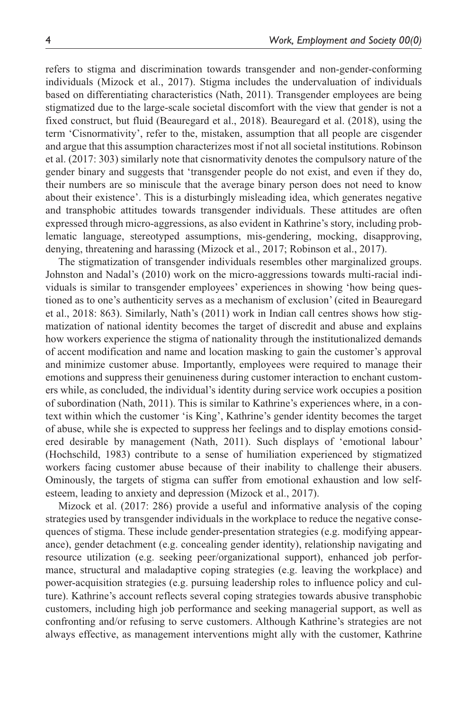refers to stigma and discrimination towards transgender and non-gender-conforming individuals (Mizock et al., 2017). Stigma includes the undervaluation of individuals based on differentiating characteristics (Nath, 2011). Transgender employees are being stigmatized due to the large-scale societal discomfort with the view that gender is not a fixed construct, but fluid (Beauregard et al., 2018). Beauregard et al. (2018), using the term 'Cisnormativity', refer to the, mistaken, assumption that all people are cisgender and argue that this assumption characterizes most if not all societal institutions. Robinson et al. (2017: 303) similarly note that cisnormativity denotes the compulsory nature of the gender binary and suggests that 'transgender people do not exist, and even if they do, their numbers are so miniscule that the average binary person does not need to know about their existence'. This is a disturbingly misleading idea, which generates negative and transphobic attitudes towards transgender individuals. These attitudes are often expressed through micro-aggressions, as also evident in Kathrine's story, including problematic language, stereotyped assumptions, mis-gendering, mocking, disapproving, denying, threatening and harassing (Mizock et al., 2017; Robinson et al., 2017).

The stigmatization of transgender individuals resembles other marginalized groups. Johnston and Nadal's (2010) work on the micro-aggressions towards multi-racial individuals is similar to transgender employees' experiences in showing 'how being questioned as to one's authenticity serves as a mechanism of exclusion' (cited in Beauregard et al., 2018: 863). Similarly, Nath's (2011) work in Indian call centres shows how stigmatization of national identity becomes the target of discredit and abuse and explains how workers experience the stigma of nationality through the institutionalized demands of accent modification and name and location masking to gain the customer's approval and minimize customer abuse. Importantly, employees were required to manage their emotions and suppress their genuineness during customer interaction to enchant customers while, as concluded, the individual's identity during service work occupies a position of subordination (Nath, 2011). This is similar to Kathrine's experiences where, in a context within which the customer 'is King', Kathrine's gender identity becomes the target of abuse, while she is expected to suppress her feelings and to display emotions considered desirable by management (Nath, 2011). Such displays of 'emotional labour' (Hochschild, 1983) contribute to a sense of humiliation experienced by stigmatized workers facing customer abuse because of their inability to challenge their abusers. Ominously, the targets of stigma can suffer from emotional exhaustion and low selfesteem, leading to anxiety and depression (Mizock et al., 2017).

Mizock et al. (2017: 286) provide a useful and informative analysis of the coping strategies used by transgender individuals in the workplace to reduce the negative consequences of stigma. These include gender-presentation strategies (e.g. modifying appearance), gender detachment (e.g. concealing gender identity), relationship navigating and resource utilization (e.g. seeking peer/organizational support), enhanced job performance, structural and maladaptive coping strategies (e.g. leaving the workplace) and power-acquisition strategies (e.g. pursuing leadership roles to influence policy and culture). Kathrine's account reflects several coping strategies towards abusive transphobic customers, including high job performance and seeking managerial support, as well as confronting and/or refusing to serve customers. Although Kathrine's strategies are not always effective, as management interventions might ally with the customer, Kathrine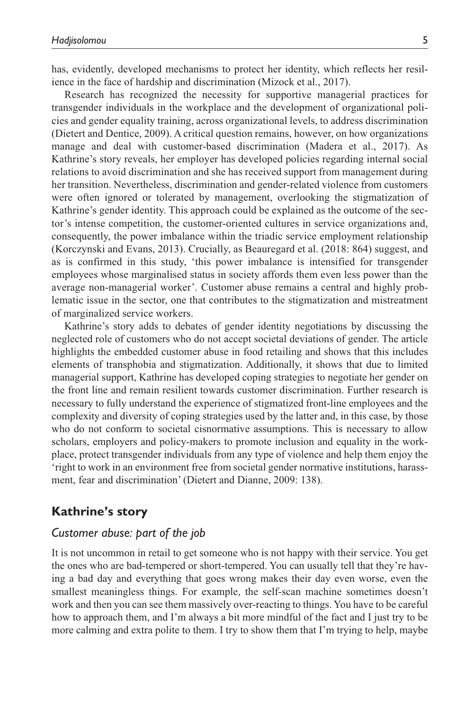has, evidently, developed mechanisms to protect her identity, which reflects her resilience in the face of hardship and discrimination (Mizock et al., 2017).

Research has recognized the necessity for supportive managerial practices for transgender individuals in the workplace and the development of organizational policies and gender equality training, across organizational levels, to address discrimination (Dietert and Dentice, 2009). A critical question remains, however, on how organizations manage and deal with customer-based discrimination (Madera et al., 2017). As Kathrine's story reveals, her employer has developed policies regarding internal social relations to avoid discrimination and she has received support from management during her transition. Nevertheless, discrimination and gender-related violence from customers were often ignored or tolerated by management, overlooking the stigmatization of Kathrine's gender identity. This approach could be explained as the outcome of the sector's intense competition, the customer-oriented cultures in service organizations and, consequently, the power imbalance within the triadic service employment relationship (Korczynski and Evans, 2013). Crucially, as Beauregard et al. (2018: 864) suggest, and as is confirmed in this study, 'this power imbalance is intensified for transgender employees whose marginalised status in society affords them even less power than the average non-managerial worker'. Customer abuse remains a central and highly problematic issue in the sector, one that contributes to the stigmatization and mistreatment of marginalized service workers.

Kathrine's story adds to debates of gender identity negotiations by discussing the neglected role of customers who do not accept societal deviations of gender. The article highlights the embedded customer abuse in food retailing and shows that this includes elements of transphobia and stigmatization. Additionally, it shows that due to limited managerial support, Kathrine has developed coping strategies to negotiate her gender on the front line and remain resilient towards customer discrimination. Further research is necessary to fully understand the experience of stigmatized front-line employees and the complexity and diversity of coping strategies used by the latter and, in this case, by those who do not conform to societal cisnormative assumptions. This is necessary to allow scholars, employers and policy-makers to promote inclusion and equality in the workplace, protect transgender individuals from any type of violence and help them enjoy the 'right to work in an environment free from societal gender normative institutions, harassment, fear and discrimination' (Dietert and Dianne, 2009: 138).

### **Kathrine's story**

### *Customer abuse: part of the job*

It is not uncommon in retail to get someone who is not happy with their service. You get the ones who are bad-tempered or short-tempered. You can usually tell that they're having a bad day and everything that goes wrong makes their day even worse, even the smallest meaningless things. For example, the self-scan machine sometimes doesn't work and then you can see them massively over-reacting to things. You have to be careful how to approach them, and I'm always a bit more mindful of the fact and I just try to be more calming and extra polite to them. I try to show them that I'm trying to help, maybe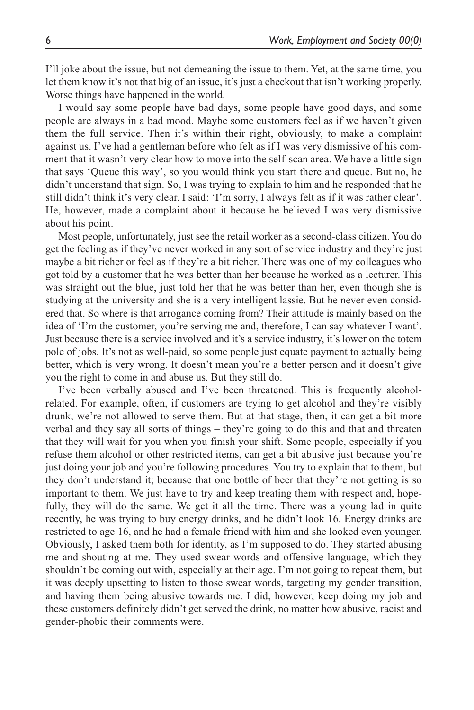I'll joke about the issue, but not demeaning the issue to them. Yet, at the same time, you let them know it's not that big of an issue, it's just a checkout that isn't working properly. Worse things have happened in the world.

I would say some people have bad days, some people have good days, and some people are always in a bad mood. Maybe some customers feel as if we haven't given them the full service. Then it's within their right, obviously, to make a complaint against us. I've had a gentleman before who felt as if I was very dismissive of his comment that it wasn't very clear how to move into the self-scan area. We have a little sign that says 'Queue this way', so you would think you start there and queue. But no, he didn't understand that sign. So, I was trying to explain to him and he responded that he still didn't think it's very clear. I said: 'I'm sorry, I always felt as if it was rather clear'. He, however, made a complaint about it because he believed I was very dismissive about his point.

Most people, unfortunately, just see the retail worker as a second-class citizen. You do get the feeling as if they've never worked in any sort of service industry and they're just maybe a bit richer or feel as if they're a bit richer. There was one of my colleagues who got told by a customer that he was better than her because he worked as a lecturer. This was straight out the blue, just told her that he was better than her, even though she is studying at the university and she is a very intelligent lassie. But he never even considered that. So where is that arrogance coming from? Their attitude is mainly based on the idea of 'I'm the customer, you're serving me and, therefore, I can say whatever I want'. Just because there is a service involved and it's a service industry, it's lower on the totem pole of jobs. It's not as well-paid, so some people just equate payment to actually being better, which is very wrong. It doesn't mean you're a better person and it doesn't give you the right to come in and abuse us. But they still do.

I've been verbally abused and I've been threatened. This is frequently alcoholrelated. For example, often, if customers are trying to get alcohol and they're visibly drunk, we're not allowed to serve them. But at that stage, then, it can get a bit more verbal and they say all sorts of things – they're going to do this and that and threaten that they will wait for you when you finish your shift. Some people, especially if you refuse them alcohol or other restricted items, can get a bit abusive just because you're just doing your job and you're following procedures. You try to explain that to them, but they don't understand it; because that one bottle of beer that they're not getting is so important to them. We just have to try and keep treating them with respect and, hopefully, they will do the same. We get it all the time. There was a young lad in quite recently, he was trying to buy energy drinks, and he didn't look 16. Energy drinks are restricted to age 16, and he had a female friend with him and she looked even younger. Obviously, I asked them both for identity, as I'm supposed to do. They started abusing me and shouting at me. They used swear words and offensive language, which they shouldn't be coming out with, especially at their age. I'm not going to repeat them, but it was deeply upsetting to listen to those swear words, targeting my gender transition, and having them being abusive towards me. I did, however, keep doing my job and these customers definitely didn't get served the drink, no matter how abusive, racist and gender-phobic their comments were.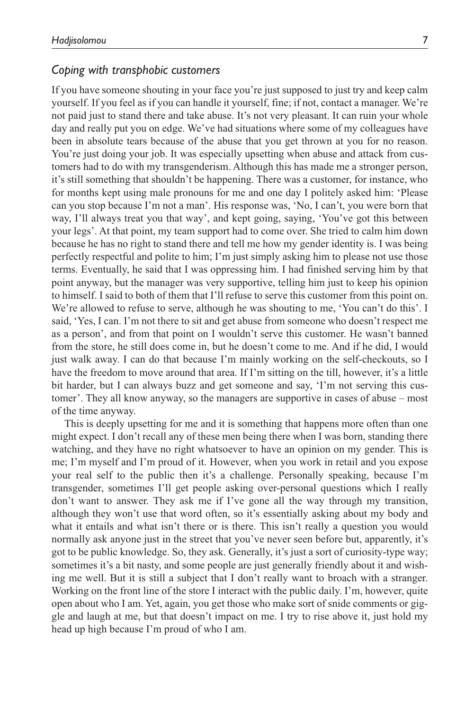### *Coping with transphobic customers*

If you have someone shouting in your face you're just supposed to just try and keep calm yourself. If you feel as if you can handle it yourself, fine; if not, contact a manager. We're not paid just to stand there and take abuse. It's not very pleasant. It can ruin your whole day and really put you on edge. We've had situations where some of my colleagues have been in absolute tears because of the abuse that you get thrown at you for no reason. You're just doing your job. It was especially upsetting when abuse and attack from customers had to do with my transgenderism. Although this has made me a stronger person, it's still something that shouldn't be happening. There was a customer, for instance, who for months kept using male pronouns for me and one day I politely asked him: 'Please can you stop because I'm not a man'. His response was, 'No, I can't, you were born that way, I'll always treat you that way', and kept going, saying, 'You've got this between your legs'. At that point, my team support had to come over. She tried to calm him down because he has no right to stand there and tell me how my gender identity is. I was being perfectly respectful and polite to him; I'm just simply asking him to please not use those terms. Eventually, he said that I was oppressing him. I had finished serving him by that point anyway, but the manager was very supportive, telling him just to keep his opinion to himself. I said to both of them that I'll refuse to serve this customer from this point on. We're allowed to refuse to serve, although he was shouting to me, 'You can't do this'. I said, 'Yes, I can. I'm not there to sit and get abuse from someone who doesn't respect me as a person', and from that point on I wouldn't serve this customer. He wasn't banned from the store, he still does come in, but he doesn't come to me. And if he did, I would just walk away. I can do that because I'm mainly working on the self-checkouts, so I have the freedom to move around that area. If I'm sitting on the till, however, it's a little bit harder, but I can always buzz and get someone and say, 'I'm not serving this customer'. They all know anyway, so the managers are supportive in cases of abuse – most of the time anyway.

This is deeply upsetting for me and it is something that happens more often than one might expect. I don't recall any of these men being there when I was born, standing there watching, and they have no right whatsoever to have an opinion on my gender. This is me; I'm myself and I'm proud of it. However, when you work in retail and you expose your real self to the public then it's a challenge. Personally speaking, because I'm transgender, sometimes I'll get people asking over-personal questions which I really don't want to answer. They ask me if I've gone all the way through my transition, although they won't use that word often, so it's essentially asking about my body and what it entails and what isn't there or is there. This isn't really a question you would normally ask anyone just in the street that you've never seen before but, apparently, it's got to be public knowledge. So, they ask. Generally, it's just a sort of curiosity-type way; sometimes it's a bit nasty, and some people are just generally friendly about it and wishing me well. But it is still a subject that I don't really want to broach with a stranger. Working on the front line of the store I interact with the public daily. I'm, however, quite open about who I am. Yet, again, you get those who make sort of snide comments or giggle and laugh at me, but that doesn't impact on me. I try to rise above it, just hold my head up high because I'm proud of who I am.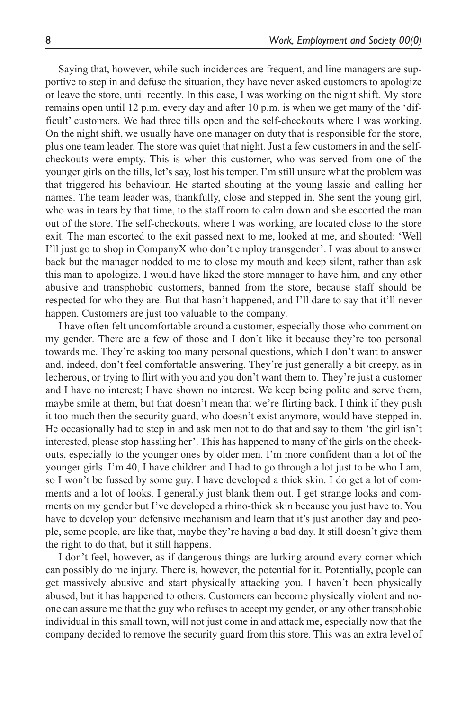Saying that, however, while such incidences are frequent, and line managers are supportive to step in and defuse the situation, they have never asked customers to apologize or leave the store, until recently. In this case, I was working on the night shift. My store remains open until 12 p.m. every day and after 10 p.m. is when we get many of the 'difficult' customers. We had three tills open and the self-checkouts where I was working. On the night shift, we usually have one manager on duty that is responsible for the store, plus one team leader. The store was quiet that night. Just a few customers in and the selfcheckouts were empty. This is when this customer, who was served from one of the younger girls on the tills, let's say, lost his temper. I'm still unsure what the problem was that triggered his behaviour. He started shouting at the young lassie and calling her names. The team leader was, thankfully, close and stepped in. She sent the young girl, who was in tears by that time, to the staff room to calm down and she escorted the man out of the store. The self-checkouts, where I was working, are located close to the store exit. The man escorted to the exit passed next to me, looked at me, and shouted: 'Well I'll just go to shop in CompanyX who don't employ transgender'. I was about to answer back but the manager nodded to me to close my mouth and keep silent, rather than ask this man to apologize. I would have liked the store manager to have him, and any other abusive and transphobic customers, banned from the store, because staff should be respected for who they are. But that hasn't happened, and I'll dare to say that it'll never happen. Customers are just too valuable to the company.

I have often felt uncomfortable around a customer, especially those who comment on my gender. There are a few of those and I don't like it because they're too personal towards me. They're asking too many personal questions, which I don't want to answer and, indeed, don't feel comfortable answering. They're just generally a bit creepy, as in lecherous, or trying to flirt with you and you don't want them to. They're just a customer and I have no interest; I have shown no interest. We keep being polite and serve them, maybe smile at them, but that doesn't mean that we're flirting back. I think if they push it too much then the security guard, who doesn't exist anymore, would have stepped in. He occasionally had to step in and ask men not to do that and say to them 'the girl isn't interested, please stop hassling her'. This has happened to many of the girls on the checkouts, especially to the younger ones by older men. I'm more confident than a lot of the younger girls. I'm 40, I have children and I had to go through a lot just to be who I am, so I won't be fussed by some guy. I have developed a thick skin. I do get a lot of comments and a lot of looks. I generally just blank them out. I get strange looks and comments on my gender but I've developed a rhino-thick skin because you just have to. You have to develop your defensive mechanism and learn that it's just another day and people, some people, are like that, maybe they're having a bad day. It still doesn't give them the right to do that, but it still happens.

I don't feel, however, as if dangerous things are lurking around every corner which can possibly do me injury. There is, however, the potential for it. Potentially, people can get massively abusive and start physically attacking you. I haven't been physically abused, but it has happened to others. Customers can become physically violent and noone can assure me that the guy who refuses to accept my gender, or any other transphobic individual in this small town, will not just come in and attack me, especially now that the company decided to remove the security guard from this store. This was an extra level of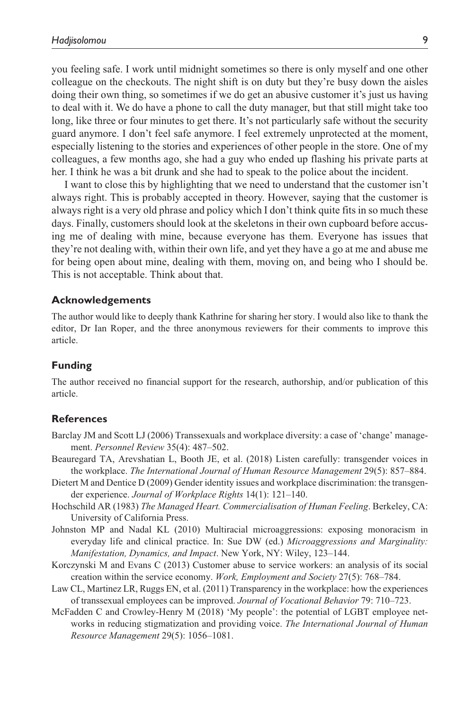you feeling safe. I work until midnight sometimes so there is only myself and one other colleague on the checkouts. The night shift is on duty but they're busy down the aisles doing their own thing, so sometimes if we do get an abusive customer it's just us having to deal with it. We do have a phone to call the duty manager, but that still might take too long, like three or four minutes to get there. It's not particularly safe without the security guard anymore. I don't feel safe anymore. I feel extremely unprotected at the moment, especially listening to the stories and experiences of other people in the store. One of my colleagues, a few months ago, she had a guy who ended up flashing his private parts at her. I think he was a bit drunk and she had to speak to the police about the incident.

I want to close this by highlighting that we need to understand that the customer isn't always right. This is probably accepted in theory. However, saying that the customer is always right is a very old phrase and policy which I don't think quite fits in so much these days. Finally, customers should look at the skeletons in their own cupboard before accusing me of dealing with mine, because everyone has them. Everyone has issues that they're not dealing with, within their own life, and yet they have a go at me and abuse me for being open about mine, dealing with them, moving on, and being who I should be. This is not acceptable. Think about that.

#### **Acknowledgements**

The author would like to deeply thank Kathrine for sharing her story. I would also like to thank the editor, Dr Ian Roper, and the three anonymous reviewers for their comments to improve this article.

#### **Funding**

The author received no financial support for the research, authorship, and/or publication of this article.

#### **References**

- Barclay JM and Scott LJ (2006) Transsexuals and workplace diversity: a case of 'change' management. *Personnel Review* 35(4): 487–502.
- Beauregard TA, Arevshatian L, Booth JE, et al. (2018) Listen carefully: transgender voices in the workplace. *The International Journal of Human Resource Management* 29(5): 857–884.
- Dietert M and Dentice D (2009) Gender identity issues and workplace discrimination: the transgender experience. *Journal of Workplace Rights* 14(1): 121–140.
- Hochschild AR (1983) *The Managed Heart. Commercialisation of Human Feeling*. Berkeley, CA: University of California Press.
- Johnston MP and Nadal KL (2010) Multiracial microaggressions: exposing monoracism in everyday life and clinical practice. In: Sue DW (ed.) *Microaggressions and Marginality: Manifestation, Dynamics, and Impact*. New York, NY: Wiley, 123–144.
- Korczynski M and Evans C (2013) Customer abuse to service workers: an analysis of its social creation within the service economy. *Work, Employment and Society* 27(5): 768–784.
- Law CL, Martinez LR, Ruggs EN, et al. (2011) Transparency in the workplace: how the experiences of transsexual employees can be improved. *Journal of Vocational Behavior* 79: 710–723.
- McFadden C and Crowley-Henry M (2018) 'My people': the potential of LGBT employee networks in reducing stigmatization and providing voice. *The International Journal of Human Resource Management* 29(5): 1056–1081.